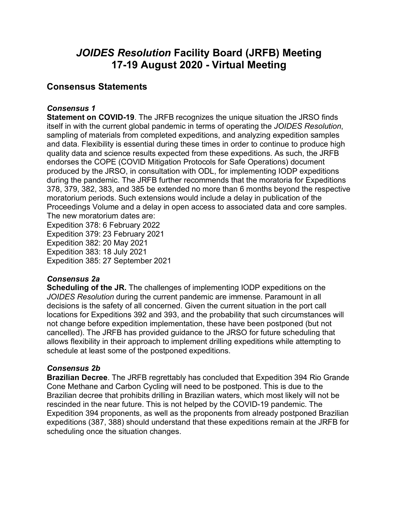## *JOIDES Resolution* **Facility Board (JRFB) Meeting 17-19 August 2020 - Virtual Meeting**

### **Consensus Statements**

### *Consensus 1*

**Statement on COVID-19**. The JRFB recognizes the unique situation the JRSO finds itself in with the current global pandemic in terms of operating the *JOIDES Resolution*, sampling of materials from completed expeditions, and analyzing expedition samples and data. Flexibility is essential during these times in order to continue to produce high quality data and science results expected from these expeditions. As such, the JRFB endorses the COPE (COVID Mitigation Protocols for Safe Operations) document produced by the JRSO, in consultation with ODL, for implementing IODP expeditions during the pandemic. The JRFB further recommends that the moratoria for Expeditions 378, 379, 382, 383, and 385 be extended no more than 6 months beyond the respective moratorium periods. Such extensions would include a delay in publication of the Proceedings Volume and a delay in open access to associated data and core samples. The new moratorium dates are:

Expedition 378: 6 February 2022 Expedition 379: 23 February 2021 Expedition 382: 20 May 2021 Expedition 383: 18 July 2021 Expedition 385: 27 September 2021

### *Consensus 2a*

**Scheduling of the JR.** The challenges of implementing IODP expeditions on the *JOIDES Resolution* during the current pandemic are immense. Paramount in all decisions is the safety of all concerned. Given the current situation in the port call locations for Expeditions 392 and 393, and the probability that such circumstances will not change before expedition implementation, these have been postponed (but not cancelled). The JRFB has provided guidance to the JRSO for future scheduling that allows flexibility in their approach to implement drilling expeditions while attempting to schedule at least some of the postponed expeditions.

### *Consensus 2b*

**Brazilian Decree**. The JRFB regrettably has concluded that Expedition 394 Rio Grande Cone Methane and Carbon Cycling will need to be postponed. This is due to the Brazilian decree that prohibits drilling in Brazilian waters, which most likely will not be rescinded in the near future. This is not helped by the COVID-19 pandemic. The Expedition 394 proponents, as well as the proponents from already postponed Brazilian expeditions (387, 388) should understand that these expeditions remain at the JRFB for scheduling once the situation changes.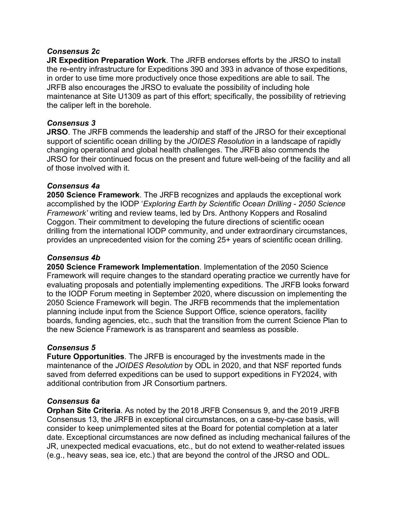### *Consensus 2c*

**JR Expedition Preparation Work**. The JRFB endorses efforts by the JRSO to install the re-entry infrastructure for Expeditions 390 and 393 in advance of those expeditions, in order to use time more productively once those expeditions are able to sail. The JRFB also encourages the JRSO to evaluate the possibility of including hole maintenance at Site U1309 as part of this effort; specifically, the possibility of retrieving the caliper left in the borehole.

### *Consensus 3*

**JRSO**. The JRFB commends the leadership and staff of the JRSO for their exceptional support of scientific ocean drilling by the *JOIDES Resolution* in a landscape of rapidly changing operational and global health challenges. The JRFB also commends the JRSO for their continued focus on the present and future well-being of the facility and all of those involved with it.

### *Consensus 4a*

**2050 Science Framework**. The JRFB recognizes and applauds the exceptional work accomplished by the IODP '*Exploring Earth by Scientific Ocean Drilling - 2050 Science Framework'* writing and review teams, led by Drs. Anthony Koppers and Rosalind Coggon. Their commitment to developing the future directions of scientific ocean drilling from the international IODP community, and under extraordinary circumstances, provides an unprecedented vision for the coming 25+ years of scientific ocean drilling.

### *Consensus 4b*

**2050 Science Framework Implementation**. Implementation of the 2050 Science Framework will require changes to the standard operating practice we currently have for evaluating proposals and potentially implementing expeditions. The JRFB looks forward to the IODP Forum meeting in September 2020, where discussion on implementing the 2050 Science Framework will begin. The JRFB recommends that the implementation planning include input from the Science Support Office, science operators, facility boards, funding agencies, etc., such that the transition from the current Science Plan to the new Science Framework is as transparent and seamless as possible.

### *Consensus 5*

**Future Opportunities**. The JRFB is encouraged by the investments made in the maintenance of the *JOIDES Resolution* by ODL in 2020, and that NSF reported funds saved from deferred expeditions can be used to support expeditions in FY2024, with additional contribution from JR Consortium partners.

### *Consensus 6a*

**Orphan Site Criteria**. As noted by the 2018 JRFB Consensus 9, and the 2019 JRFB Consensus 13, the JRFB in exceptional circumstances, on a case-by-case basis, will consider to keep unimplemented sites at the Board for potential completion at a later date. Exceptional circumstances are now defined as including mechanical failures of the JR, unexpected medical evacuations, etc., but do not extend to weather-related issues (e.g., heavy seas, sea ice, etc.) that are beyond the control of the JRSO and ODL.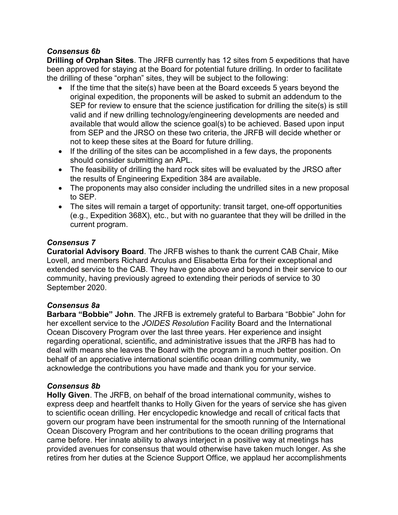### *Consensus 6b*

**Drilling of Orphan Sites**. The JRFB currently has 12 sites from 5 expeditions that have been approved for staying at the Board for potential future drilling. In order to facilitate the drilling of these "orphan" sites, they will be subject to the following:

- If the time that the site(s) have been at the Board exceeds 5 years beyond the original expedition, the proponents will be asked to submit an addendum to the SEP for review to ensure that the science justification for drilling the site(s) is still valid and if new drilling technology/engineering developments are needed and available that would allow the science goal(s) to be achieved. Based upon input from SEP and the JRSO on these two criteria, the JRFB will decide whether or not to keep these sites at the Board for future drilling.
- If the drilling of the sites can be accomplished in a few days, the proponents should consider submitting an APL.
- The feasibility of drilling the hard rock sites will be evaluated by the JRSO after the results of Engineering Expedition 384 are available.
- The proponents may also consider including the undrilled sites in a new proposal to SEP.
- The sites will remain a target of opportunity: transit target, one-off opportunities (e.g., Expedition 368X), etc., but with no guarantee that they will be drilled in the current program.

### *Consensus 7*

**Curatorial Advisory Board**. The JRFB wishes to thank the current CAB Chair, Mike Lovell, and members Richard Arculus and Elisabetta Erba for their exceptional and extended service to the CAB. They have gone above and beyond in their service to our community, having previously agreed to extending their periods of service to 30 September 2020.

### *Consensus 8a*

**Barbara "Bobbie" John**. The JRFB is extremely grateful to Barbara "Bobbie" John for her excellent service to the *JOIDES Resolution* Facility Board and the International Ocean Discovery Program over the last three years. Her experience and insight regarding operational, scientific, and administrative issues that the JRFB has had to deal with means she leaves the Board with the program in a much better position. On behalf of an appreciative international scientific ocean drilling community, we acknowledge the contributions you have made and thank you for your service.

### *Consensus 8b*

**Holly Given**. The JRFB, on behalf of the broad international community, wishes to express deep and heartfelt thanks to Holly Given for the years of service she has given to scientific ocean drilling. Her encyclopedic knowledge and recall of critical facts that govern our program have been instrumental for the smooth running of the International Ocean Discovery Program and her contributions to the ocean drilling programs that came before. Her innate ability to always interject in a positive way at meetings has provided avenues for consensus that would otherwise have taken much longer. As she retires from her duties at the Science Support Office, we applaud her accomplishments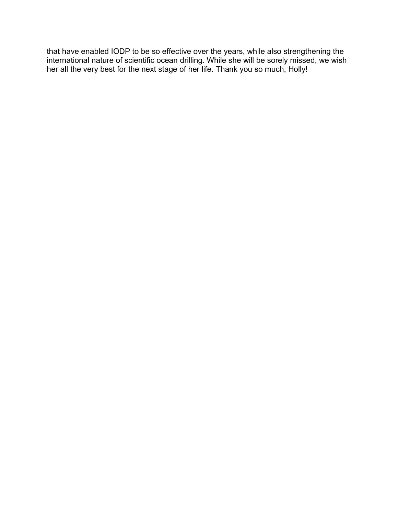that have enabled IODP to be so effective over the years, while also strengthening the international nature of scientific ocean drilling. While she will be sorely missed, we wish her all the very best for the next stage of her life. Thank you so much, Holly!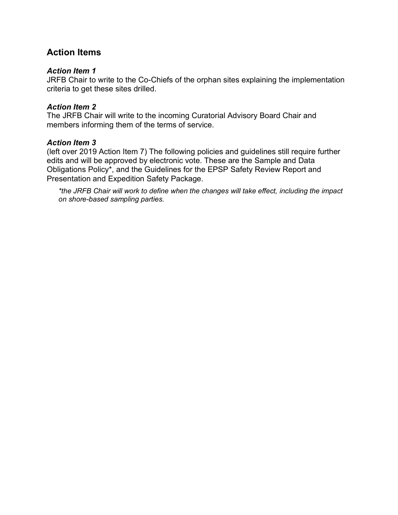### **Action Items**

### *Action Item 1*

JRFB Chair to write to the Co-Chiefs of the orphan sites explaining the implementation criteria to get these sites drilled.

### *Action Item 2*

The JRFB Chair will write to the incoming Curatorial Advisory Board Chair and members informing them of the terms of service.

### *Action Item 3*

(left over 2019 Action Item 7) The following policies and guidelines still require further edits and will be approved by electronic vote. These are the Sample and Data Obligations Policy\*, and the Guidelines for the EPSP Safety Review Report and Presentation and Expedition Safety Package.

*\*the JRFB Chair will work to define when the changes will take effect, including the impact on shore-based sampling parties.*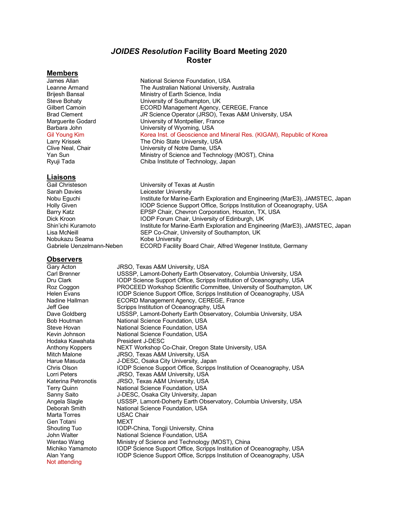### *JOIDES Resolution* **Facility Board Meeting 2020 Roster**

#### **Members**

#### **Liaisons**

Gail Christeson University of Texas at Austin Sarah Davies **Leicester University** Nobukazu Seama<br>Gabriele Uenzelmann-Neben

# **Observers**<br>Gary Acton

Gary Acton **JRSO, Texas A&M University, USA**<br>Carl Brenner **JUSSSP Lamont-Doberty Farth Obs** USSSP. Lamont-Doherty Earth Observatory, Columbia University, USA Dru Clark IODP Science Support Office, Scripps Institution of Oceanography, USA Roz Coggon PROCEED Workshop Scientific Committee, University of Southampton, UK<br>Helen Evans Person Color Science Support Office, Scripps Institution of Oceanography, USA Helen Evans **IODP Science Support Office, Scripps Institution of Oceanography, USA**<br>Nadine Hallman **ICORD Management Agency, CEREGE, France** ECORD Management Agency, CEREGE, France Jeff Gee Scripps Institution of Oceanography, USA Dave Goldberg **USSSP, Lamont-Doherty Earth Observatory, Columbia University, USA** Bob Houtman National Science Foundation, USA Steve Hovan National Science Foundation, USA Kevin Johnson National Science Foundation, USA Hodaka Kawahata President J-DESC Anthony Koppers **NEXT Workshop Co-Chair, Oregon State University, USA**<br>Mitch Malone **Night Communist USA** Mitch Malone **JRSO, Texas A&M University, USA**<br>Harue Masuda J-DESC, Osaka City University, Jap J-DESC, Osaka City University, Japan Chris Olson IODP Science Support Office, Scripps Institution of Oceanography, USA Lorri Peters JRSO, Texas A&M University, USA Katerina Petronotis JRSO, Texas A&M University, USA Terry Quinn **National Science Foundation, USA** Sanny Saito J-DESC, Osaka City University, Japan Angela Slagle USSSP, Lamont-Doherty Earth Observatory, Columbia University, USA Deborah Smith National Science Foundation, USA Marta Torres USAC Chair Gen Totani MEXT Shouting Tuo **IODP-China, Tongji University, China** John Walter **National Science Foundation**, USA Wentao Wang Ministry of Science and Technology (MOST), China Michiko Yamamoto **IODP** Science Support Office, Scripps Institution of Oceanography, USA Alan Yang IODP Science Support Office, Scripps Institution of Oceanography, USA Not attending

James Allan National Science Foundation, USA Leanne Armand The Australian National University, Australia Brijesh Bansal Ministry of Earth Science, India Steve Bohaty University of Southampton, UK Gilbert Camoin ECORD Management Agency, CEREGE, France Brad Clement *JR* Science Operator (JRSO), Texas A&M University, USA Marguerite Godard **University of Montpellier, France Barbara John**<br>
University of Wyoming, USA University of Wyoming, USA Gil Young Kim **Korea Inst. of Geoscience and Mineral Res.** (KIGAM), Republic of Korea Larry Krissek The Ohio State University, USA Clive Neal, Chair **Click Clive Neal, Chair** University of Notre Dame, USA<br>
Yan Sun<br>
Ministry of Science and Techno Yan Sun Ministry of Science and Technology (MOST), China Chiba Institute of Technology, Japan

Nobu Eguchi **Institute for Marine-Earth Exploration and Engineering (MarE3), JAMSTEC, Japan** Holly Given **IODP Science Support Office, Scripps Institution of Oceanography, USA**<br>Barry Katz **IODP Science Support Oceanography, USA**<br>EPSP Chair, Chevron Corporation, Houston, TX, USA Barry Katz **EPSP Chair, Chevron Corporation, Houston, TX, USA**<br>Dick Kroon **EPSP Collam Chair, University of Edinburgh, UK** Dick Kroon **IODP Forum Chair, University of Edinburgh, UK**<br>
Shin'ichi Kuramoto **Institute for Marine-Earth Exploration and Engine** Shin'ichi Kuramoto **Institute for Marine-Earth Exploration and Engineering (MarE3), JAMSTEC, Japan**<br>I isa McNeill **Institute of Containability of Southampton**, UK SEP Co-Chair, University of Southampton, UK<br>Kobe University ECORD Facility Board Chair, Alfred Wegener Institute, Germany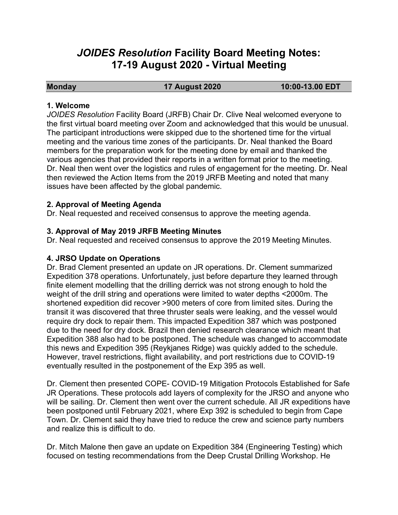# *JOIDES Resolution* **Facility Board Meeting Notes: 17-19 August 2020 - Virtual Meeting**

**Monday 17 August 2020 10:00-13.00 EDT**

### **1. Welcome**

*JOIDES Resolution* Facility Board (JRFB) Chair Dr. Clive Neal welcomed everyone to the first virtual board meeting over Zoom and acknowledged that this would be unusual. The participant introductions were skipped due to the shortened time for the virtual meeting and the various time zones of the participants. Dr. Neal thanked the Board members for the preparation work for the meeting done by email and thanked the various agencies that provided their reports in a written format prior to the meeting. Dr. Neal then went over the logistics and rules of engagement for the meeting. Dr. Neal then reviewed the Action Items from the 2019 JRFB Meeting and noted that many issues have been affected by the global pandemic.

### **2. Approval of Meeting Agenda**

Dr. Neal requested and received consensus to approve the meeting agenda.

### **3. Approval of May 2019 JRFB Meeting Minutes**

Dr. Neal requested and received consensus to approve the 2019 Meeting Minutes.

### **4. JRSO Update on Operations**

Dr. Brad Clement presented an update on JR operations. Dr. Clement summarized Expedition 378 operations. Unfortunately, just before departure they learned through finite element modelling that the drilling derrick was not strong enough to hold the weight of the drill string and operations were limited to water depths <2000m. The shortened expedition did recover >900 meters of core from limited sites. During the transit it was discovered that three thruster seals were leaking, and the vessel would require dry dock to repair them. This impacted Expedition 387 which was postponed due to the need for dry dock. Brazil then denied research clearance which meant that Expedition 388 also had to be postponed. The schedule was changed to accommodate this news and Expedition 395 (Reykjanes Ridge) was quickly added to the schedule. However, travel restrictions, flight availability, and port restrictions due to COVID-19 eventually resulted in the postponement of the Exp 395 as well.

Dr. Clement then presented COPE- COVID-19 Mitigation Protocols Established for Safe JR Operations. These protocols add layers of complexity for the JRSO and anyone who will be sailing. Dr. Clement then went over the current schedule. All JR expeditions have been postponed until February 2021, where Exp 392 is scheduled to begin from Cape Town. Dr. Clement said they have tried to reduce the crew and science party numbers and realize this is difficult to do.

Dr. Mitch Malone then gave an update on Expedition 384 (Engineering Testing) which focused on testing recommendations from the Deep Crustal Drilling Workshop. He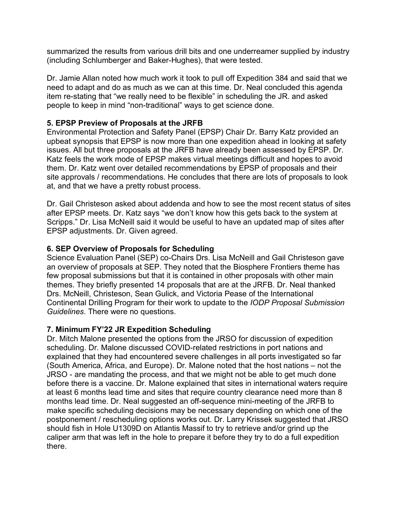summarized the results from various drill bits and one underreamer supplied by industry (including Schlumberger and Baker-Hughes), that were tested.

Dr. Jamie Allan noted how much work it took to pull off Expedition 384 and said that we need to adapt and do as much as we can at this time. Dr. Neal concluded this agenda item re-stating that "we really need to be flexible" in scheduling the JR. and asked people to keep in mind "non-traditional" ways to get science done.

### **5. EPSP Preview of Proposals at the JRFB**

Environmental Protection and Safety Panel (EPSP) Chair Dr. Barry Katz provided an upbeat synopsis that EPSP is now more than one expedition ahead in looking at safety issues. All but three proposals at the JRFB have already been assessed by EPSP. Dr. Katz feels the work mode of EPSP makes virtual meetings difficult and hopes to avoid them. Dr. Katz went over detailed recommendations by EPSP of proposals and their site approvals / recommendations. He concludes that there are lots of proposals to look at, and that we have a pretty robust process.

Dr. Gail Christeson asked about addenda and how to see the most recent status of sites after EPSP meets. Dr. Katz says "we don't know how this gets back to the system at Scripps." Dr. Lisa McNeill said it would be useful to have an updated map of sites after EPSP adjustments. Dr. Given agreed.

### **6. SEP Overview of Proposals for Scheduling**

Science Evaluation Panel (SEP) co-Chairs Drs. Lisa McNeill and Gail Christeson gave an overview of proposals at SEP. They noted that the Biosphere Frontiers theme has few proposal submissions but that it is contained in other proposals with other main themes. They briefly presented 14 proposals that are at the JRFB. Dr. Neal thanked Drs. McNeill, Christeson, Sean Gulick, and Victoria Pease of the International Continental Drilling Program for their work to update to the *IODP Proposal Submission Guidelines*. There were no questions.

### **7. Minimum FY'22 JR Expedition Scheduling**

Dr. Mitch Malone presented the options from the JRSO for discussion of expedition scheduling. Dr. Malone discussed COVID-related restrictions in port nations and explained that they had encountered severe challenges in all ports investigated so far (South America, Africa, and Europe). Dr. Malone noted that the host nations – not the JRSO - are mandating the process, and that we might not be able to get much done before there is a vaccine. Dr. Malone explained that sites in international waters require at least 6 months lead time and sites that require country clearance need more than 8 months lead time. Dr. Neal suggested an off-sequence mini-meeting of the JRFB to make specific scheduling decisions may be necessary depending on which one of the postponement / rescheduling options works out. Dr. Larry Krissek suggested that JRSO should fish in Hole U1309D on Atlantis Massif to try to retrieve and/or grind up the caliper arm that was left in the hole to prepare it before they try to do a full expedition there.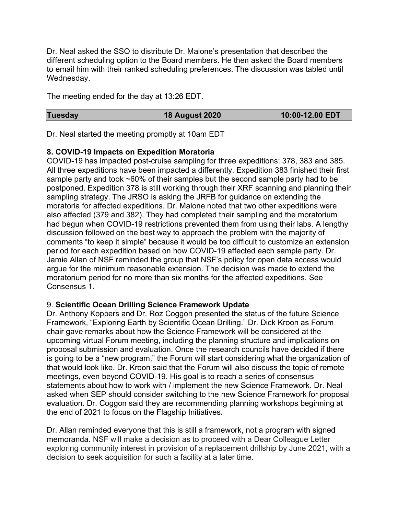Dr. Neal asked the SSO to distribute Dr. Malone's presentation that described the different scheduling option to the Board members. He then asked the Board members to email him with their ranked scheduling preferences. The discussion was tabled until Wednesday.

The meeting ended for the day at 13:26 EDT.

### **Tuesday 18 August 2020 10:00-12.00 EDT**

Dr. Neal started the meeting promptly at 10am EDT

### **8. COVID-19 Impacts on Expedition Moratoria**

COVID-19 has impacted post-cruise sampling for three expeditions: 378, 383 and 385. All three expeditions have been impacted a differently. Expedition 383 finished their first sample party and took ~60% of their samples but the second sample party had to be postponed. Expedition 378 is still working through their XRF scanning and planning their sampling strategy. The JRSO is asking the JRFB for guidance on extending the moratoria for affected expeditions. Dr. Malone noted that two other expeditions were also affected (379 and 382). They had completed their sampling and the moratorium had begun when COVID-19 restrictions prevented them from using their labs. A lengthy discussion followed on the best way to approach the problem with the majority of comments "to keep it simple" because it would be too difficult to customize an extension period for each expedition based on how COVID-19 affected each sample party. Dr. Jamie Allan of NSF reminded the group that NSF's policy for open data access would argue for the minimum reasonable extension. The decision was made to extend the moratorium period for no more than six months for the affected expeditions. See Consensus 1.

### 9. **Scientific Ocean Drilling Science Framework Update**

Dr. Anthony Koppers and Dr. Roz Coggon presented the status of the future Science Framework, "Exploring Earth by Scientific Ocean Drilling." Dr. Dick Kroon as Forum chair gave remarks about how the Science Framework will be considered at the upcoming virtual Forum meeting, including the planning structure and implications on proposal submission and evaluation. Once the research councils have decided if there is going to be a "new program," the Forum will start considering what the organization of that would look like. Dr. Kroon said that the Forum will also discuss the topic of remote meetings, even beyond COVID-19. His goal is to reach a series of consensus statements about how to work with / implement the new Science Framework. Dr. Neal asked when SEP should consider switching to the new Science Framework for proposal evaluation. Dr. Coggon said they are recommending planning workshops beginning at the end of 2021 to focus on the Flagship Initiatives.

Dr. Allan reminded everyone that this is still a framework, not a program with signed memoranda. NSF will make a decision as to proceed with a Dear Colleague Letter exploring community interest in provision of a replacement drillship by June 2021, with a decision to seek acquisition for such a facility at a later time.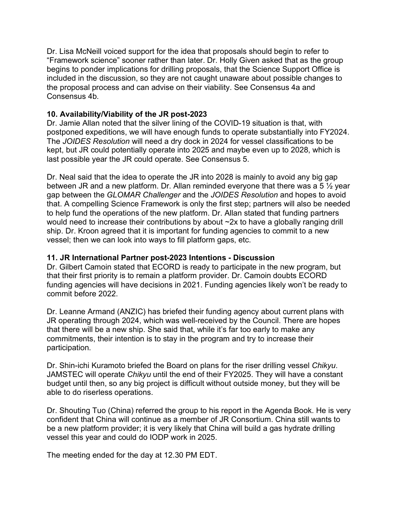Dr. Lisa McNeill voiced support for the idea that proposals should begin to refer to "Framework science" sooner rather than later. Dr. Holly Given asked that as the group begins to ponder implications for drilling proposals, that the Science Support Office is included in the discussion, so they are not caught unaware about possible changes to the proposal process and can advise on their viability. See Consensus 4a and Consensus 4b.

### **10. Availability/Viability of the JR post-2023**

Dr. Jamie Allan noted that the silver lining of the COVID-19 situation is that, with postponed expeditions, we will have enough funds to operate substantially into FY2024. The *JOIDES Resolution* will need a dry dock in 2024 for vessel classifications to be kept, but JR could potentially operate into 2025 and maybe even up to 2028, which is last possible year the JR could operate. See Consensus 5.

Dr. Neal said that the idea to operate the JR into 2028 is mainly to avoid any big gap between JR and a new platform. Dr. Allan reminded everyone that there was a 5 ½ year gap between the *GLOMAR Challenger* and the *JOIDES Resolution* and hopes to avoid that. A compelling Science Framework is only the first step; partners will also be needed to help fund the operations of the new platform. Dr. Allan stated that funding partners would need to increase their contributions by about ~2x to have a globally ranging drill ship. Dr. Kroon agreed that it is important for funding agencies to commit to a new vessel; then we can look into ways to fill platform gaps, etc.

### **11. JR International Partner post-2023 Intentions - Discussion**

Dr. Gilbert Camoin stated that ECORD is ready to participate in the new program, but that their first priority is to remain a platform provider. Dr. Camoin doubts ECORD funding agencies will have decisions in 2021. Funding agencies likely won't be ready to commit before 2022.

Dr. Leanne Armand (ANZIC) has briefed their funding agency about current plans with JR operating through 2024, which was well-received by the Council. There are hopes that there will be a new ship. She said that, while it's far too early to make any commitments, their intention is to stay in the program and try to increase their participation.

Dr. Shin-ichi Kuramoto briefed the Board on plans for the riser drilling vessel *Chikyu*. JAMSTEC will operate *Chikyu* until the end of their FY2025. They will have a constant budget until then, so any big project is difficult without outside money, but they will be able to do riserless operations.

Dr. Shouting Tuo (China) referred the group to his report in the Agenda Book. He is very confident that China will continue as a member of JR Consortium. China still wants to be a new platform provider; it is very likely that China will build a gas hydrate drilling vessel this year and could do IODP work in 2025.

The meeting ended for the day at 12.30 PM EDT.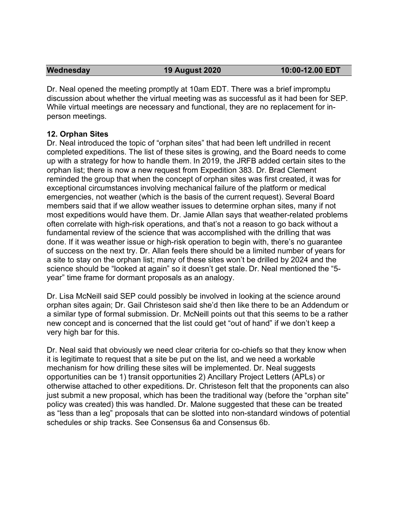Dr. Neal opened the meeting promptly at 10am EDT. There was a brief impromptu discussion about whether the virtual meeting was as successful as it had been for SEP. While virtual meetings are necessary and functional, they are no replacement for inperson meetings.

### **12. Orphan Sites**

Dr. Neal introduced the topic of "orphan sites" that had been left undrilled in recent completed expeditions. The list of these sites is growing, and the Board needs to come up with a strategy for how to handle them. In 2019, the JRFB added certain sites to the orphan list; there is now a new request from Expedition 383. Dr. Brad Clement reminded the group that when the concept of orphan sites was first created, it was for exceptional circumstances involving mechanical failure of the platform or medical emergencies, not weather (which is the basis of the current request). Several Board members said that if we allow weather issues to determine orphan sites, many if not most expeditions would have them. Dr. Jamie Allan says that weather-related problems often correlate with high-risk operations, and that's not a reason to go back without a fundamental review of the science that was accomplished with the drilling that was done. If it was weather issue or high-risk operation to begin with, there's no guarantee of success on the next try. Dr. Allan feels there should be a limited number of years for a site to stay on the orphan list; many of these sites won't be drilled by 2024 and the science should be "looked at again" so it doesn't get stale. Dr. Neal mentioned the "5 year" time frame for dormant proposals as an analogy.

Dr. Lisa McNeill said SEP could possibly be involved in looking at the science around orphan sites again; Dr. Gail Christeson said she'd then like there to be an Addendum or a similar type of formal submission. Dr. McNeill points out that this seems to be a rather new concept and is concerned that the list could get "out of hand" if we don't keep a very high bar for this.

Dr. Neal said that obviously we need clear criteria for co-chiefs so that they know when it is legitimate to request that a site be put on the list, and we need a workable mechanism for how drilling these sites will be implemented. Dr. Neal suggests opportunities can be 1) transit opportunities 2) Ancillary Project Letters (APLs) or otherwise attached to other expeditions. Dr. Christeson felt that the proponents can also just submit a new proposal, which has been the traditional way (before the "orphan site" policy was created) this was handled. Dr. Malone suggested that these can be treated as "less than a leg" proposals that can be slotted into non-standard windows of potential schedules or ship tracks. See Consensus 6a and Consensus 6b.